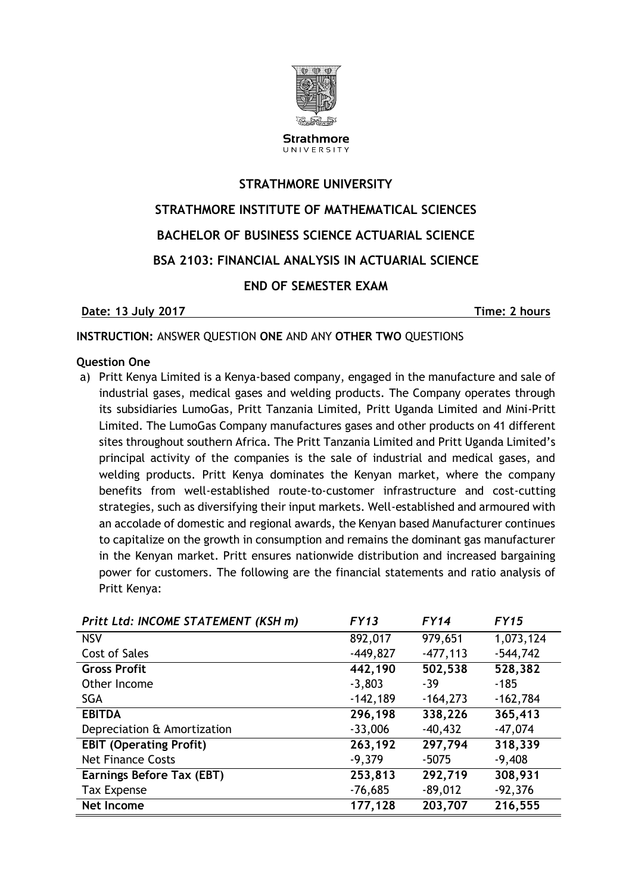

**Strathmore** UNIVERSITY

# **STRATHMORE UNIVERSITY STRATHMORE INSTITUTE OF MATHEMATICAL SCIENCES BACHELOR OF BUSINESS SCIENCE ACTUARIAL SCIENCE BSA 2103: FINANCIAL ANALYSIS IN ACTUARIAL SCIENCE END OF SEMESTER EXAM**

#### **Date: 13** July 2017 **Time:** 2 hours

#### **INSTRUCTION:** ANSWER QUESTION **ONE** AND ANY **OTHER TWO** QUESTIONS

#### **Question One**

a) Pritt Kenya Limited is a Kenya-based company, engaged in the manufacture and sale of industrial gases, medical gases and welding products. The Company operates through its subsidiaries LumoGas, Pritt Tanzania Limited, Pritt Uganda Limited and Mini-Pritt Limited. The LumoGas Company manufactures gases and other products on 41 different sites throughout southern Africa. The Pritt Tanzania Limited and Pritt Uganda Limited's principal activity of the companies is the sale of industrial and medical gases, and welding products. Pritt Kenya dominates the Kenyan market, where the company benefits from well-established route-to-customer infrastructure and cost-cutting strategies, such as diversifying their input markets. Well-established and armoured with an accolade of domestic and regional awards, the Kenyan based Manufacturer continues to capitalize on the growth in consumption and remains the dominant gas manufacturer in the Kenyan market. Pritt ensures nationwide distribution and increased bargaining power for customers. The following are the financial statements and ratio analysis of Pritt Kenya:

| Pritt Ltd: INCOME STATEMENT (KSH m) | FY13       | FY14        | FY15       |
|-------------------------------------|------------|-------------|------------|
| <b>NSV</b>                          | 892,017    | 979,651     | 1,073,124  |
| <b>Cost of Sales</b>                | $-449,827$ | $-477, 113$ | $-544,742$ |
| <b>Gross Profit</b>                 | 442,190    | 502,538     | 528,382    |
| Other Income                        | $-3,803$   | $-39$       | $-185$     |
| <b>SGA</b>                          | $-142,189$ | $-164,273$  | $-162,784$ |
| <b>EBITDA</b>                       | 296,198    | 338,226     | 365,413    |
| Depreciation & Amortization         | $-33,006$  | $-40,432$   | $-47,074$  |
| <b>EBIT (Operating Profit)</b>      | 263,192    | 297,794     | 318,339    |
| <b>Net Finance Costs</b>            | $-9,379$   | $-5075$     | $-9,408$   |
| <b>Earnings Before Tax (EBT)</b>    | 253,813    | 292,719     | 308,931    |
| <b>Tax Expense</b>                  | $-76,685$  | $-89,012$   | $-92,376$  |
| <b>Net Income</b>                   | 177,128    | 203,707     | 216,555    |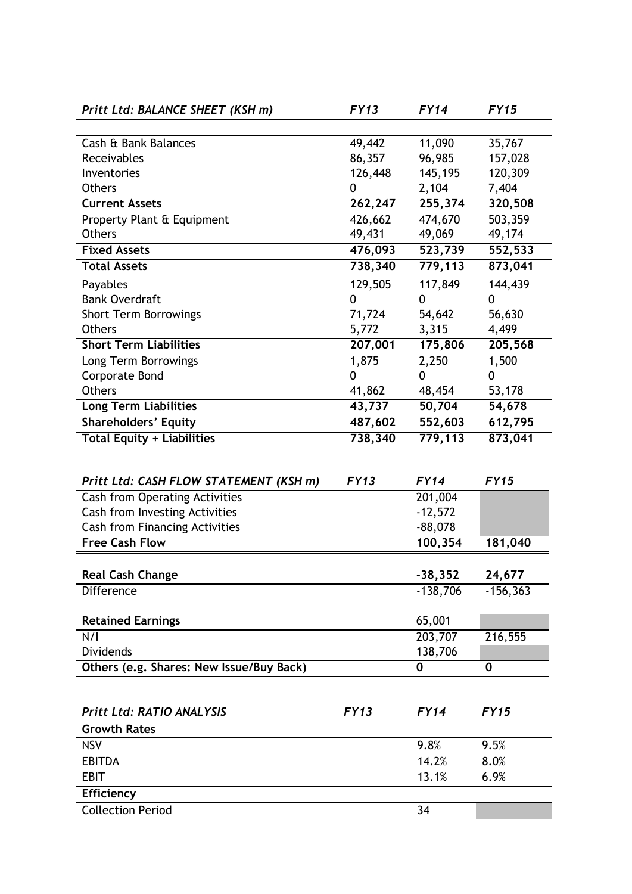| Pritt Ltd: BALANCE SHEET (KSH m)                               | <b>FY13</b>         | FY14                   | <b>FY15</b> |
|----------------------------------------------------------------|---------------------|------------------------|-------------|
|                                                                |                     |                        |             |
| Cash & Bank Balances                                           | 49,442              | 11,090                 | 35,767      |
| Receivables                                                    | 86,357              | 96,985                 | 157,028     |
| Inventories                                                    | 126,448             | 145,195                | 120,309     |
| <b>Others</b>                                                  | 0                   | 2,104                  | 7,404       |
| <b>Current Assets</b>                                          | 262,247             | 255,374                | 320,508     |
| Property Plant & Equipment                                     | 426,662             | 474,670                | 503,359     |
| <b>Others</b>                                                  | 49,431              | 49,069                 | 49,174      |
| <b>Fixed Assets</b>                                            | 476,093             | 523,739                | 552,533     |
| <b>Total Assets</b>                                            | 738,340             | 779,113                | 873,041     |
| Payables                                                       | 129,505             | 117,849                | 144,439     |
| <b>Bank Overdraft</b>                                          | 0                   | 0                      | 0           |
| <b>Short Term Borrowings</b>                                   | 71,724              | 54,642                 | 56,630      |
| <b>Others</b>                                                  | 5,772               | 3,315                  | 4,499       |
| <b>Short Term Liabilities</b>                                  | 207,001             | 175,806                | 205,568     |
| Long Term Borrowings                                           | 1,875               | 2,250                  | 1,500       |
| <b>Corporate Bond</b>                                          | 0                   | 0                      | 0           |
| <b>Others</b>                                                  | 41,862              | 48,454                 | 53,178      |
| <b>Long Term Liabilities</b>                                   | $\overline{43,737}$ | 50,704                 | 54,678      |
| <b>Shareholders' Equity</b>                                    | 487,602             | 552,603                | 612,795     |
| <b>Total Equity + Liabilities</b>                              | 738,340             | 779,113                | 873,041     |
|                                                                |                     |                        |             |
|                                                                | <b>FY13</b>         | <b>FY14</b>            | <b>FY15</b> |
| Pritt Ltd: CASH FLOW STATEMENT (KSH m)                         |                     |                        |             |
| <b>Cash from Operating Activities</b>                          |                     | 201,004                |             |
| Cash from Investing Activities                                 |                     | $-12,572$<br>$-88,078$ |             |
| <b>Cash from Financing Activities</b><br><b>Free Cash Flow</b> |                     | 100, 354               |             |
|                                                                |                     |                        | 181,040     |
| <b>Real Cash Change</b>                                        |                     | $-38,352$              | 24,677      |
| Difference                                                     |                     | $-138,706$             | $-156,363$  |
|                                                                |                     |                        |             |
| <b>Retained Earnings</b>                                       |                     | 65,001                 |             |
| N/I                                                            |                     | 203,707                | 216,555     |
| Dividends                                                      |                     | 138,706                |             |
| Others (e.g. Shares: New Issue/Buy Back)                       |                     | 0                      | 0           |
|                                                                |                     |                        |             |
|                                                                |                     |                        |             |
| <b>Pritt Ltd: RATIO ANALYSIS</b>                               | <b>FY13</b>         | <b>FY14</b>            | <b>FY15</b> |
| <b>Growth Rates</b>                                            |                     |                        |             |
| <b>NSV</b>                                                     |                     | 9.8%                   | 9.5%        |
| <b>EBITDA</b>                                                  |                     | 14.2%                  | 8.0%        |
| <b>EBIT</b>                                                    |                     | 13.1%                  | 6.9%        |
| <b>Efficiency</b>                                              |                     |                        |             |
| <b>Collection Period</b>                                       |                     | 34                     |             |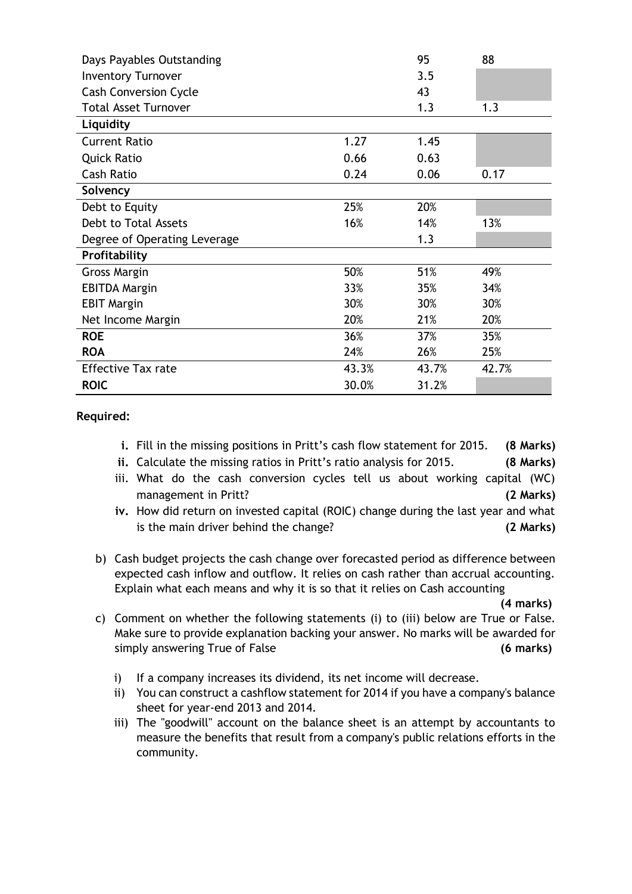| Days Payables Outstanding    |       | 95    | 88    |
|------------------------------|-------|-------|-------|
| <b>Inventory Turnover</b>    |       | 3.5   |       |
| <b>Cash Conversion Cycle</b> |       | 43    |       |
| <b>Total Asset Turnover</b>  |       | 1.3   | 1.3   |
| Liquidity                    |       |       |       |
| <b>Current Ratio</b>         | 1.27  | 1.45  |       |
| <b>Quick Ratio</b>           | 0.66  | 0.63  |       |
| <b>Cash Ratio</b>            | 0.24  | 0.06  | 0.17  |
| Solvency                     |       |       |       |
| Debt to Equity               | 25%   | 20%   |       |
| Debt to Total Assets         | 16%   | 14%   | 13%   |
| Degree of Operating Leverage |       | 1.3   |       |
| Profitability                |       |       |       |
| <b>Gross Margin</b>          | 50%   | 51%   | 49%   |
| <b>EBITDA Margin</b>         | 33%   | 35%   | 34%   |
| <b>EBIT Margin</b>           | 30%   | 30%   | 30%   |
| Net Income Margin            | 20%   | 21%   | 20%   |
| <b>ROE</b>                   | 36%   | 37%   | 35%   |
| <b>ROA</b>                   | 24%   | 26%   | 25%   |
| <b>Effective Tax rate</b>    | 43.3% | 43.7% | 42.7% |
| <b>ROIC</b>                  | 30.0% | 31.2% |       |

#### **Required:**

- **i.** Fill in the missing positions in Pritt's cash flow statement for 2015. **(8 Marks)**
- **ii.** Calculate the missing ratios in Pritt's ratio analysis for 2015. **(8 Marks)**
- iii. What do the cash conversion cycles tell us about working capital (WC) management in Pritt? **(2 Marks)**
- **iv.** How did return on invested capital (ROIC) change during the last year and what is the main driver behind the change? **(2 Marks)**
- b) Cash budget projects the cash change over forecasted period as difference between expected cash inflow and outflow. It relies on cash rather than accrual accounting. Explain what each means and why it is so that it relies on Cash accounting

**(4 marks)**

- c) Comment on whether the following statements (i) to (iii) below are True or False. Make sure to provide explanation backing your answer. No marks will be awarded for simply answering True of False **(6 marks)**
	- i) If a company increases its dividend, its net income will decrease.
	- ii) You can construct a cashflow statement for 2014 if you have a company's balance sheet for year-end 2013 and 2014.
	- iii) The "goodwill" account on the balance sheet is an attempt by accountants to measure the benefits that result from a company's public relations efforts in the community.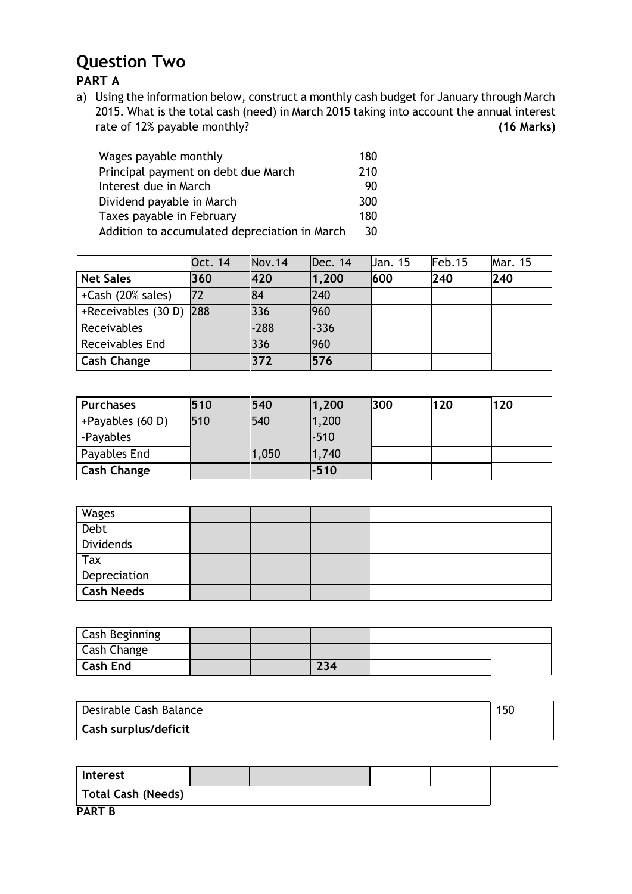### **Question Two**

**PART A**

a) Using the information below, construct a monthly cash budget for January through March 2015. What is the total cash (need) in March 2015 taking into account the annual interest rate of 12% payable monthly? **(16 Marks)**

| Wages payable monthly                         | 180 |
|-----------------------------------------------|-----|
| Principal payment on debt due March           | 210 |
| Interest due in March                         | 90  |
| Dividend payable in March                     | 300 |
| Taxes payable in February                     | 180 |
| Addition to accumulated depreciation in March | 30  |

|                         | Oct. 14 | Nov.14 | Dec. 14 | Jan. 15 | Feb.15 | Mar. 15 |
|-------------------------|---------|--------|---------|---------|--------|---------|
| <b>Net Sales</b>        | 360     | 420    | 1,200   | 600     | 240    | 240     |
| +Cash (20% sales)       | 72      | 84     | 240     |         |        |         |
| +Receivables (30 D) 288 |         | 336    | 960     |         |        |         |
| Receivables             |         | $-288$ | $-336$  |         |        |         |
| Receivables End         |         | 336    | 960     |         |        |         |
| <b>Cash Change</b>      |         | 372    | 576     |         |        |         |

| <b>Purchases</b>   | 510 | 540   | 1,200  | 300 | 120 | 120 |
|--------------------|-----|-------|--------|-----|-----|-----|
| +Payables (60 D)   | 510 | 540   | 1,200  |     |     |     |
| -Payables          |     |       | $-510$ |     |     |     |
| Payables End       |     | 1,050 | 1,740  |     |     |     |
| <b>Cash Change</b> |     |       | -510   |     |     |     |

| Wages             |  |  |  |
|-------------------|--|--|--|
| Debt              |  |  |  |
| Dividends         |  |  |  |
| Tax               |  |  |  |
| Depreciation      |  |  |  |
| <b>Cash Needs</b> |  |  |  |

| <b>Cash Beginning</b> |  |     |  |  |
|-----------------------|--|-----|--|--|
| <b>Cash Change</b>    |  |     |  |  |
| <b>Cash End</b>       |  | 234 |  |  |

| Desirable Cash Balance      | 150 |
|-----------------------------|-----|
| <b>Cash surplus/deficit</b> |     |

| Interest           |  |  |  |
|--------------------|--|--|--|
| Total Cash (Needs) |  |  |  |
| <b>PART B</b>      |  |  |  |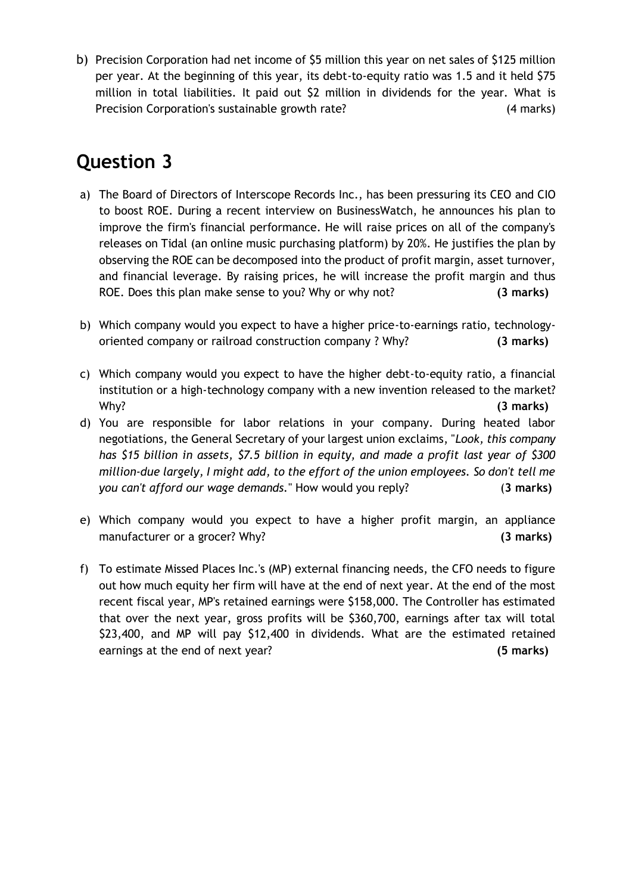b) Precision Corporation had net income of \$5 million this year on net sales of \$125 million per year. At the beginning of this year, its debt-to-equity ratio was 1.5 and it held \$75 million in total liabilities. It paid out \$2 million in dividends for the year. What is Precision Corporation's sustainable growth rate? (4 marks)

## **Question 3**

- a) The Board of Directors of Interscope Records Inc., has been pressuring its CEO and CIO to boost ROE. During a recent interview on BusinessWatch, he announces his plan to improve the firm's financial performance. He will raise prices on all of the company's releases on Tidal (an online music purchasing platform) by 20%. He justifies the plan by observing the ROE can be decomposed into the product of profit margin, asset turnover, and financial leverage. By raising prices, he will increase the profit margin and thus ROE. Does this plan make sense to you? Why or why not? **(3 marks)**
- b) Which company would you expect to have a higher price-to-earnings ratio, technologyoriented company or railroad construction company ? Why? **(3 marks)**
- c) Which company would you expect to have the higher debt-to-equity ratio, a financial institution or a high-technology company with a new invention released to the market? Why? **(3 marks)**
- d) You are responsible for labor relations in your company. During heated labor negotiations, the General Secretary of your largest union exclaims, "*Look, this company has \$15 billion in assets, \$7.5 billion in equity, and made a profit last year of \$300 million-due largely, I might add, to the effort of the union employees. So don't tell me you can't afford our wage demands.*" How would you reply? (**3 marks)**
- e) Which company would you expect to have a higher profit margin, an appliance manufacturer or a grocer? Why? **(3 marks)**
- f) To estimate Missed Places Inc.'s (MP) external financing needs, the CFO needs to figure out how much equity her firm will have at the end of next year. At the end of the most recent fiscal year, MP's retained earnings were \$158,000. The Controller has estimated that over the next year, gross profits will be \$360,700, earnings after tax will total \$23,400, and MP will pay \$12,400 in dividends. What are the estimated retained earnings at the end of next year? **(5 marks)**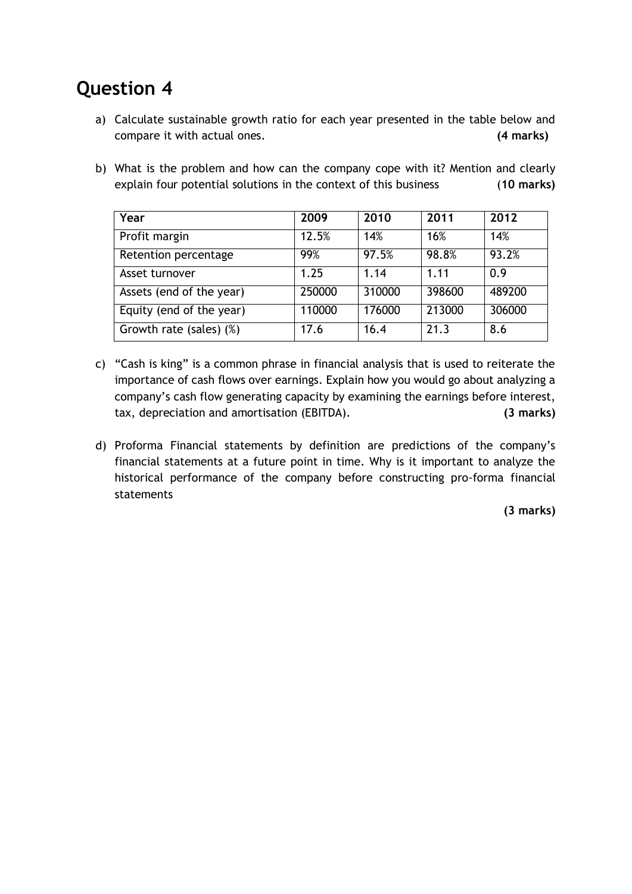## **Question 4**

- a) Calculate sustainable growth ratio for each year presented in the table below and compare it with actual ones. **(4 marks)**
- b) What is the problem and how can the company cope with it? Mention and clearly explain four potential solutions in the context of this business (**10 marks)**

| Year                     | 2009   | 2010   | 2011   | 2012   |
|--------------------------|--------|--------|--------|--------|
| Profit margin            | 12.5%  | 14%    | 16%    | 14%    |
| Retention percentage     | 99%    | 97.5%  | 98.8%  | 93.2%  |
| Asset turnover           | 1.25   | 1.14   | 1.11   | 0.9    |
| Assets (end of the year) | 250000 | 310000 | 398600 | 489200 |
| Equity (end of the year) | 110000 | 176000 | 213000 | 306000 |
| Growth rate (sales) (%)  | 17.6   | 16.4   | 21.3   | 8.6    |

- c) "Cash is king" is a common phrase in financial analysis that is used to reiterate the importance of cash flows over earnings. Explain how you would go about analyzing a company's cash flow generating capacity by examining the earnings before interest, tax, depreciation and amortisation (EBITDA). **(3 marks)**
- d) Proforma Financial statements by definition are predictions of the company's financial statements at a future point in time. Why is it important to analyze the historical performance of the company before constructing pro-forma financial statements

**(3 marks)**